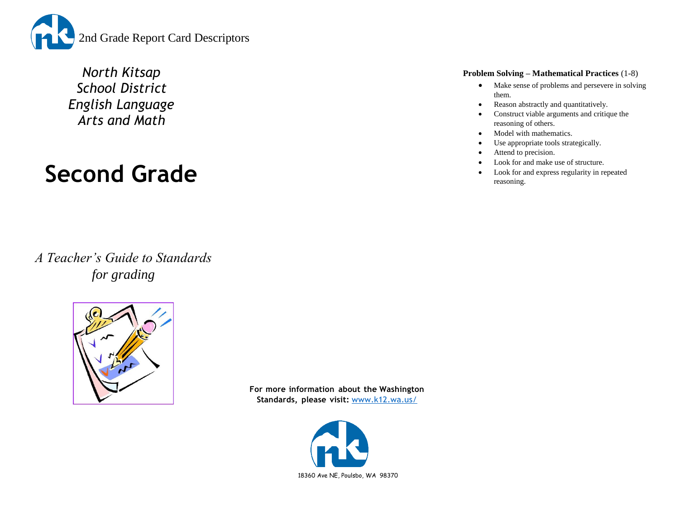

*North Kitsap School District English Language Arts and Math*

# **Second Grade**

*A Teacher's Guide to Standards for grading*



**For more information about the Washington Standards, please visit:** [www.k12.wa.us/](http://www.k12.wa.us/)



#### **Problem Solving – Mathematical Practices** (1-8)

- Make sense of problems and persevere in solving them.
- Reason abstractly and quantitatively.
- Construct viable arguments and critique the reasoning of others.
- Model with mathematics.
- Use appropriate tools strategically.
- Attend to precision.
- Look for and make use of structure.
- Look for and express regularity in repeated reasoning.